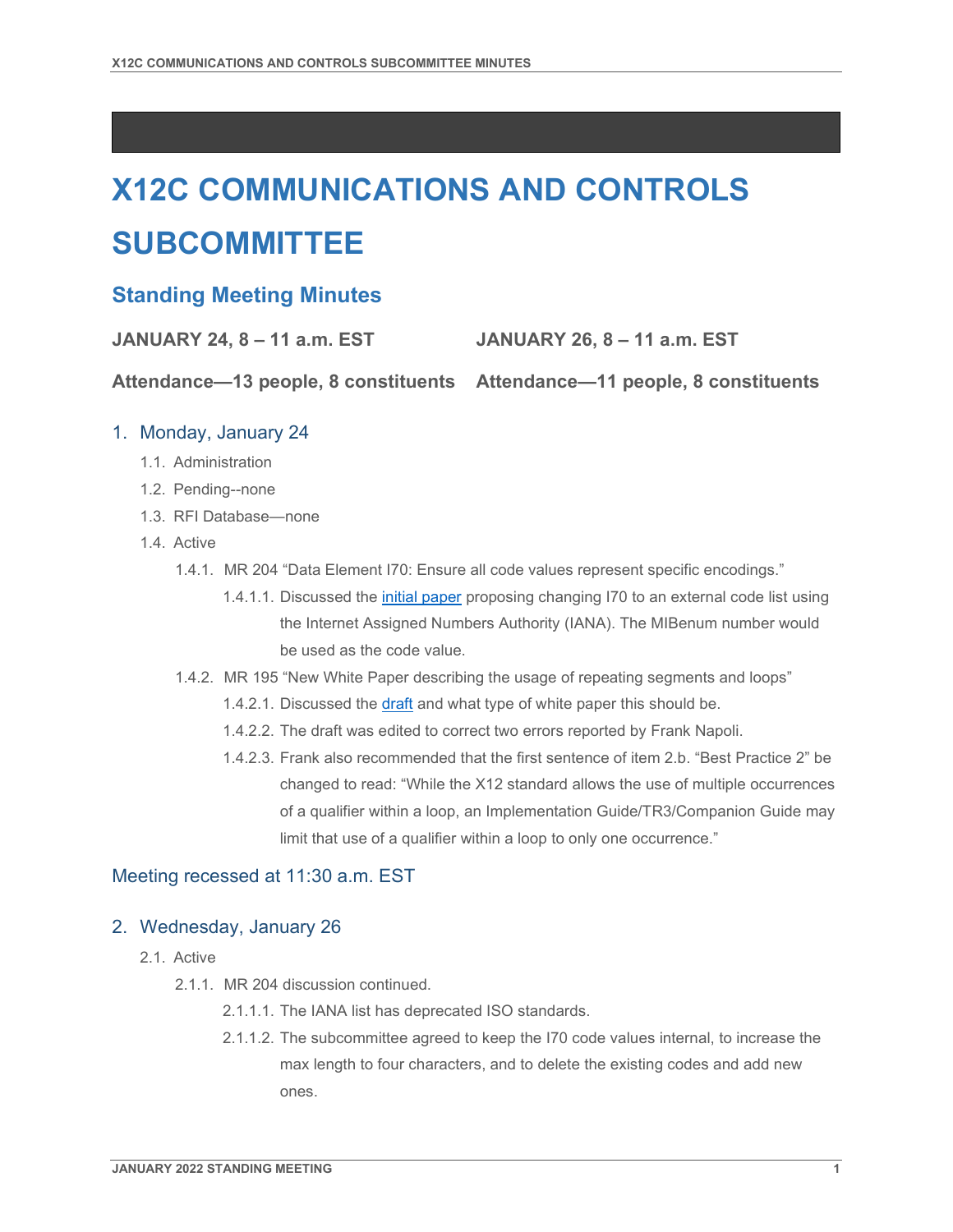# **X12C COMMUNICATIONS AND CONTROLS SUBCOMMITTEE**

# **Standing Meeting Minutes**

**JANUARY 24, 8 – 11 a.m. EST JANUARY 26, 8 – 11 a.m. EST**

**Attendance—13 people, 8 constituents Attendance—11 people, 8 constituents**

## 1. Monday, January 24

- 1.1. Administration
- 1.2. Pending--none
- 1.3. RFI Database—none
- 1.4. Active
	- 1.4.1. MR 204 "Data Element I70: Ensure all code values represent specific encodings."
		- 1.4.1.1. Discussed the [initial paper](https://x12.imeetcentral.com/x12c/folder/WzIwLDQ2OTQzMzRd/WzIsODE5MTQ1NzZd/) proposing changing I70 to an external code list using the Internet Assigned Numbers Authority (IANA). The MIBenum number would be used as the code value.
	- 1.4.2. MR 195 "New White Paper describing the usage of repeating segments and loops"
		- 1.4.2.1. Discussed the [draft](https://x12.imeetcentral.com/x12c/folder/all/WzIsODEwNzE4ODhd/) and what type of white paper this should be.
		- 1.4.2.2. The draft was edited to correct two errors reported by Frank Napoli.
		- 1.4.2.3. Frank also recommended that the first sentence of item 2.b. "Best Practice 2" be changed to read: "While the X12 standard allows the use of multiple occurrences of a qualifier within a loop, an Implementation Guide/TR3/Companion Guide may limit that use of a qualifier within a loop to only one occurrence."

### Meeting recessed at 11:30 a.m. EST

### 2. Wednesday, January 26

- 2.1. Active
	- 2.1.1. MR 204 discussion continued.
		- 2.1.1.1. The IANA list has deprecated ISO standards.
		- 2.1.1.2. The subcommittee agreed to keep the I70 code values internal, to increase the max length to four characters, and to delete the existing codes and add new ones.